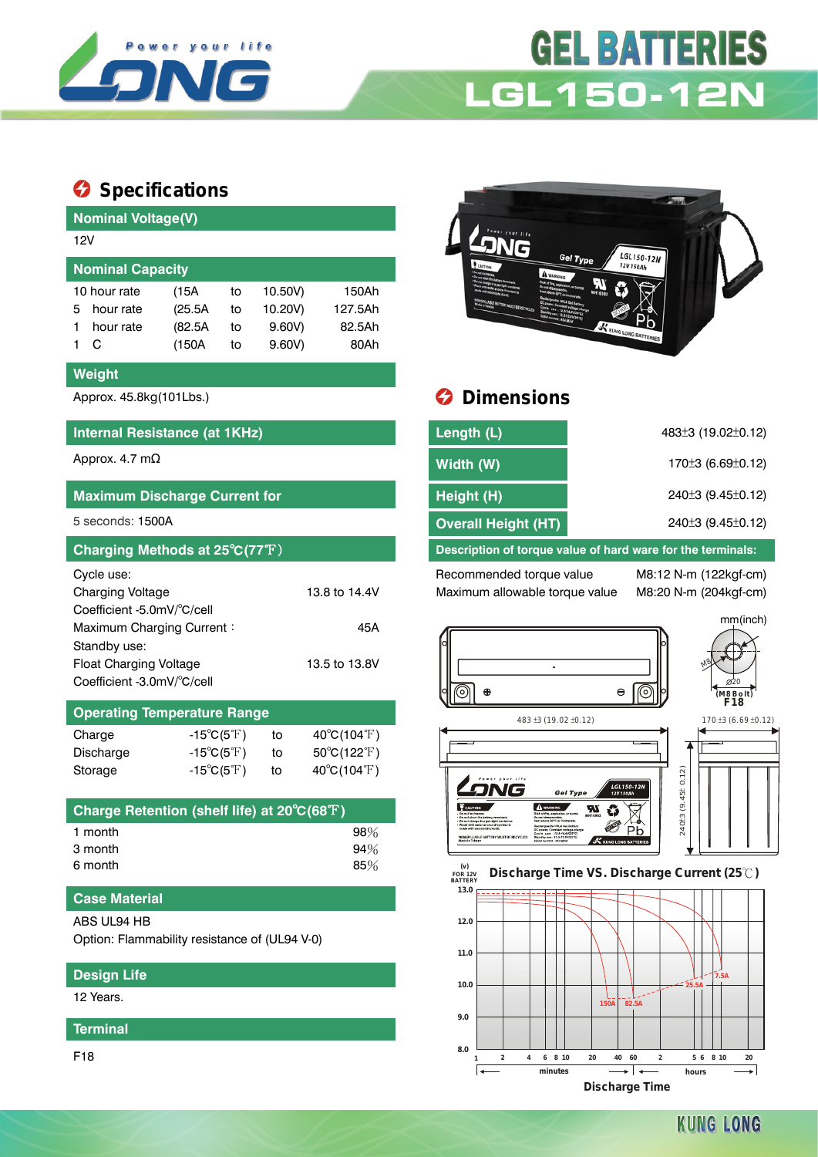

# **GEL BATTER IES LGL150-12N**

## **Specifications**

| <b>Nominal Voltage(V)</b><br>12V<br><b>Gel Type</b><br><b>Nominal Capacity</b><br>10 hour rate<br>150Ah<br>10.50V)<br>(15A)<br>to<br><b>MUST BE RECYCLED</b><br>(25.5A)<br>10.20V)<br>127.5Ah<br>hour rate<br>5<br>to<br>(82.5A)<br>9.60V)<br>82.5Ah<br>hour rate<br>to<br>1<br>$9.60V$ )<br>80Ah<br>C<br>(150A)<br>1.<br>to<br><b>Weight</b><br><b>Dimensions</b><br>Approx. 45.8kg(101Lbs.)<br>Length (L)<br>Internal Resistance (at 1KHz) | LGL150-12N<br>12V150Ah     |
|----------------------------------------------------------------------------------------------------------------------------------------------------------------------------------------------------------------------------------------------------------------------------------------------------------------------------------------------------------------------------------------------------------------------------------------------|----------------------------|
|                                                                                                                                                                                                                                                                                                                                                                                                                                              |                            |
|                                                                                                                                                                                                                                                                                                                                                                                                                                              |                            |
|                                                                                                                                                                                                                                                                                                                                                                                                                                              |                            |
|                                                                                                                                                                                                                                                                                                                                                                                                                                              |                            |
|                                                                                                                                                                                                                                                                                                                                                                                                                                              |                            |
|                                                                                                                                                                                                                                                                                                                                                                                                                                              | <b>KUNG LONG BATTERIES</b> |
|                                                                                                                                                                                                                                                                                                                                                                                                                                              |                            |
|                                                                                                                                                                                                                                                                                                                                                                                                                                              |                            |
|                                                                                                                                                                                                                                                                                                                                                                                                                                              |                            |
|                                                                                                                                                                                                                                                                                                                                                                                                                                              |                            |
| Approx. 4.7 $m\Omega$<br>Width (W)                                                                                                                                                                                                                                                                                                                                                                                                           |                            |
| Height (H)<br><b>Maximum Discharge Current for</b>                                                                                                                                                                                                                                                                                                                                                                                           |                            |
| 5 seconds: 1500A<br><b>Overall Height (HT)</b>                                                                                                                                                                                                                                                                                                                                                                                               |                            |
| Charging Methods at 25°C(77°F)<br>Description of torque value of hard ware for the terminals:                                                                                                                                                                                                                                                                                                                                                |                            |
| Cycle use:<br>Recommended torque value                                                                                                                                                                                                                                                                                                                                                                                                       | M8:12 N-m (122kgf-cm)      |
| <b>Charging Voltage</b><br>13.8 to 14.4V<br>Maximum allowable torque value                                                                                                                                                                                                                                                                                                                                                                   | M8:20 N-m (204kgf-cm)      |
| Coefficient -5.0mV/°C/cell                                                                                                                                                                                                                                                                                                                                                                                                                   |                            |
| Maximum Charging Current:<br>45A                                                                                                                                                                                                                                                                                                                                                                                                             |                            |
| Standby use:                                                                                                                                                                                                                                                                                                                                                                                                                                 |                            |
| Float Charging Voltage<br>13.5 to 13.8V                                                                                                                                                                                                                                                                                                                                                                                                      |                            |
| Coefficient -3.0mV/°C/cell<br>$\circ$                                                                                                                                                                                                                                                                                                                                                                                                        |                            |
| <b>Operating Temperature Range</b><br>483 ±3 (19.02 ±0.12)                                                                                                                                                                                                                                                                                                                                                                                   |                            |
| 40°C(104°F)<br>Charge<br>$-15^{\circ}C(5^{\circ}F)$<br>to                                                                                                                                                                                                                                                                                                                                                                                    |                            |
| $-15^{\circ}C(5^{\circ}F)$<br>Discharge<br>$50^{\circ}$ C(122 $^{\circ}$ F)<br>to                                                                                                                                                                                                                                                                                                                                                            |                            |
| 40°C(104°F)<br>$-15^{\circ}C(5^{\circ}F)$<br>Storage<br>to                                                                                                                                                                                                                                                                                                                                                                                   |                            |

| Charge Retention (shelf life) at 20°C(68°F) |        |
|---------------------------------------------|--------|
| 1 month                                     | $98\%$ |
| 3 month                                     | 94%    |
| 6 month                                     | $85\%$ |

### **Case Material**

#### ABS UL94 HB

Option: Flammability resistance of (UL94 V-0)

### **Design Life**

12 Years.

**Terminal**

F18



## $\theta$  Dimensions

| Length (L)                                                  | 483±3 (19.02±0.12)                          |  |  |  |
|-------------------------------------------------------------|---------------------------------------------|--|--|--|
| Width (W)                                                   | 170 $\pm$ 3 (6.69 $\pm$ 0.12)               |  |  |  |
| Height (H)                                                  | $240±3$ (9.45 $±0.12$ )                     |  |  |  |
| <b>Overall Height (HT)</b>                                  | 240 <sup>+</sup> 3 (9.45 <sup>+</sup> 0.12) |  |  |  |
| Description of torque value of hard ware for the terminals: |                                             |  |  |  |